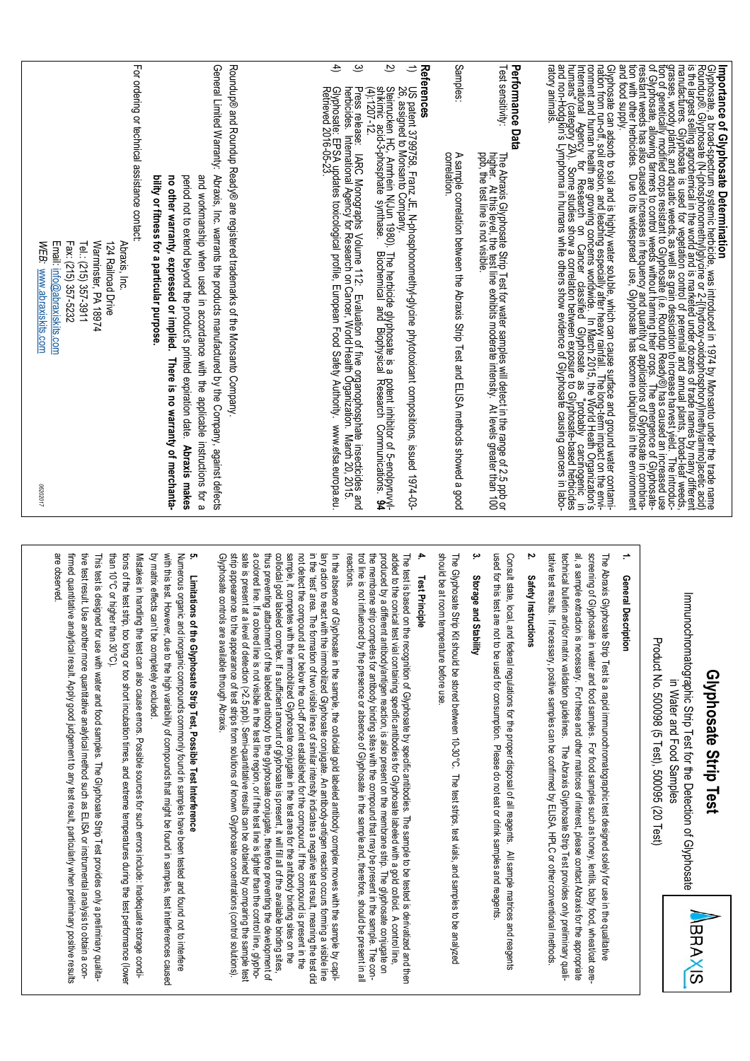## **Glyphosate Strip Test** Glyphosate Strip Test

Immunochromatographic Strip Test for the Detection of Glyphosate Immunochromatographic Strip Test for the Detection of Glyphosate Product No. 500098 (5 Test), 500095 (20 Test) Product No. 500098 (5 Test), 500095 (20 Test) in Water and Food Samples in Water and Food Samples

**BRAXIS** 

#### **1.** General Description **General Description**

technical bulletin and/or matrix validation guidelines. The Abraxis Glyphosate Strip Test provides only preliminary qualial, a sample extraction is necessary. For these and other matrices of interest, please contact Abraxis for the appropriate tative test results. If necessary, positive samples can be confirmed by ELISA, HPLC or other conventional methods. tative test results. If necessary, positive samples can be confirmed by ELISA, HPLC or other conventional methods. technical bulletin and/or matrix validation guidelines. The Abraxis Glyphosate Strip Test provides only preliminary qualial, a sample extraction is necessary. For these and other matrices of interest, please contact Abraxis for the appropriate screening of Glyphosate in water and food samples. For food samples such as honey, lentils, baby food, wheat/oat cere screening of Glyphosate in water and food samples. For food samples such as honey, lentils, baby food, wheat/oat cere-The Abraxis Glyphosate Strip Test is a rapid immunochromatographic test designed solely for use in the qualitative The Abraxis Glyphosate Strip Test is a rapid immunochromatographic test designed solely for use in the qualitative

### **2.** Safety Instructions **Safety Instructions**

Consult state, local, and federal regulations for the proper disposal of all reagents. All sample matrices and reagents used for this test are not to be used for consumption. Please do not eat or drink samples and reagents. used for this test are not to be used for consumption. Please do not eat or drink samples and reagents. Consult state, local, and federal regulations for the proper disposal of all reagents. All sample matrices and reagents

#### **3.** Storage and Stability **Storage and Stability**

shoud be at room temperature before use should be at room temperature before use. The Glyphosate Strip Kit should be stored between 10-30°C. The test strips, test vials, and samples to be analyzed The Glyphosate Strip Kit should be stored between 10-30°C. The test strips, test vials, and samples to be analyzed

#### **4. Test Principle Test Principle**

added to the conical test vial containing specific antibodies for Glyphosate labeled with a gold colloid. A control line reactons. trol line is not influenced by the presence or absence of Glyphosate in the sample and, therefore, should be present in all trol line is not influenced by the presence of  $\overline{G}$  of  $\overline{G}$  and  $\overline{G}$  is not absence or absence of  $\overline{G}$  and  $\overline{G}$  and  $\overline{G}$  and  $\overline{G}$  and  $\overline{G}$  and  $\overline{G}$  and  $\overline{G}$  and  $\overline{G}$  and  $\overline{G}$ the membrane strip competes for antibody binding sites with the compound that may be present in the sample. The conthe membrane strip competes for antibody binding sites with the compound that may be present in the sample. The conproduced by a different antibody/antigen reaction, is also present on the membrane strip. I he glyphosate conjugate on added to the conical test vial containing specific antibodies for Glyphosate labeled with a gold colloid. A control line, The test is based on the recognition of Glyphosate by specific antibodies. The sample to be tested is derivatized and then The test is based on the recognition of Glyphosate by specific antibodies. The sample to be tested is derivatized and then reactions. produced by a different antibody/antigen reaction, is also present on the membrane strip. The glyphosate conjugate on

a colored line. If a colored line is not visible in the test line region, or if the test line is lighter than the control line, glyphosample, it competes with the immobilized Glyphosate conjugate in the test area for the antibody binding sites on the<br>colloidal gold labeled complex. If a sufficient amount of glyphosate is present, it will fill all of the in the 'test' area. The formation of two visible lines of similar intensity indicates a negative test result, meaning the test dic lary action to react with the immobilized Glyphosate conjugate. An antibody-antigen reaction occurs forming a visible line In the absence of Glyphosate in the sample, the colloidal gold labeled antibody complex moves with the sample by capil-Gilyphosate controls are available through Abraxis strip appearance to the appearance of test strips from solutions of known Glyphosate concentrations (control solutions). strip appearance to the appearance of test strips from solutions of known Glyphosate concentrations (control solutions). sate is present at a level of detection (>2.5 ppb). Semi-quantitative results can be obtained by comparing the sample tes sate is present at a level of detection (>2.5 ppb). Semi-quantitative results can be obtained by comparing the sample test a colored line. If a colored line is not visible in the test line region, or if the test line is lighter than the control lin thus preventing attachment of the labeled antibody to the glyphosate conjugate, therefore preventing the development o thus preventing attachment of the labeled antibody to the glyphosate conjugate, therefore preventing the development of sample, it competes with the immobilized Glyphosate conjugate in the test area for the antibody binding sites on the not detect the compound at or below the cut-off point established for the compound. If the compound is present in the Glyphosate controls are available through Abraxis. colloidal gold labeled complex. If a sufficient amount of glyphosate is present, it will fill all of the available binding si not detect the compound at or below the cut-off point established for the compound. If the compound is present in the in the 'test' area. The formation of two visible lines of similar intensity indicates a negative test result, meaning the test did lary action to react with the immobilized Glyphosate conjugate. An antibody In the absence of Glyphosate in the sample, the colloidal gold labeled antibody complex moves with the sample by capil--antigen reaction occurs forming a visible line

# Limitations of the Glyphosate Strip Test, Possible Test Interference **Limitations of the Glyphosate Strip Test, Possible Test Interference**

**5.**

with this test. However, due to the high variability of compounds that might be found in samples, test interferences caused by matrix effects can't be completely excluded with this test. However, due to the high variability of compounds that might be found in samples, test interferences caused Numerous organic and inorganic compounds commonly found in samples have been tested and found not to interfere by matrix effects can't be completely excluded. Numerous organic and inorganic compounds commonly found in samples have been tested and found not to interfere

than 10°C or higher than 30°C). than 10°C or higher than 30°C). tions of the test strip, too long or too short incubation times, and extreme temperatures during the test performance (lower tions of the test strip, too long or too short incubation times, and extreme temperatures during the test performance (lower Mistakes in handling the test can also cause errors. Possible sources for such errors include: Inadequate storage condi-Mistakes in handling the test can also cause errors. Possible sources for such errors included: Inadequate storage condi-

are observed. are observed. firmed quantitative analytical result. Apply good judgement to any test result, particularly when preliminary positive results firmed quantitative analytical result. Apply good judgement to any test result, particularly when preliminary positive result tive test result. Use another more quantitative analytical method such as ELISA or instrumental analysis to obtain a contive test result. Use another more quantitative analytical method such as ELISA or instrumental analysis to obtain a con-This test is designed for use with water and food samples. The Glyphosate Strip Test provides only a preliminary qualita This test is designed for use with water and food samples. The Glyphosate Strip Test provides only a preliminary qualita-